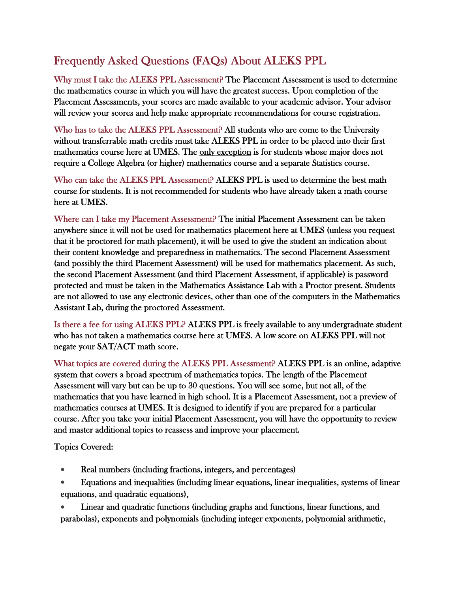## Frequently Asked Questions (FAQs) About ALEKS PPL

Why must I take the ALEKS PPL Assessment? The Placement Assessment is used to determine the mathematics course in which you will have the greatest success. Upon completion of the Placement Assessments, your scores are made available to your academic advisor. Your advisor will review your scores and help make appropriate recommendations for course registration.

Who has to take the ALEKS PPL Assessment? All students who are come to the University without transferrable math credits must take ALEKS PPL in order to be placed into their first mathematics course here at UMES. The only exception is for students whose major does not require a College Algebra (or higher) mathematics course and a separate Statistics course.

Who can take the ALEKS PPL Assessment? ALEKS PPL is used to determine the best math course for students. It is not recommended for students who have already taken a math course here at UMES.

Where can I take my Placement Assessment? The initial Placement Assessment can be taken anywhere since it will not be used for mathematics placement here at UMES (unless you request that it be proctored for math placement), it will be used to give the student an indication about their content knowledge and preparedness in mathematics. The second Placement Assessment (and possibly the third Placement Assessment) will be used for mathematics placement. As such, the second Placement Assessment (and third Placement Assessment, if applicable) is password protected and must be taken in the Mathematics Assistance Lab with a Proctor present. Students are not allowed to use any electronic devices, other than one of the computers in the Mathematics Assistant Lab, during the proctored Assessment.

Is there a fee for using ALEKS PPL? ALEKS PPL is freely available to any undergraduate student who has not taken a mathematics course here at UMES. A low score on ALEKS PPL will not negate your SAT/ACT math score.

What topics are covered during the ALEKS PPL Assessment? ALEKS PPL is an online, adaptive system that covers a broad spectrum of mathematics topics. The length of the Placement Assessment will vary but can be up to 30 questions. You will see some, but not all, of the mathematics that you have learned in high school. It is a Placement Assessment, not a preview of mathematics courses at UMES. It is designed to identify if you are prepared for a particular course. After you take your initial Placement Assessment, you will have the opportunity to review and master additional topics to reassess and improve your placement.

Topics Covered:

- Real numbers (including fractions, integers, and percentages)
- Equations and inequalities (including linear equations, linear inequalities, systems of linear equations, and quadratic equations),

 Linear and quadratic functions (including graphs and functions, linear functions, and parabolas), exponents and polynomials (including integer exponents, polynomial arithmetic,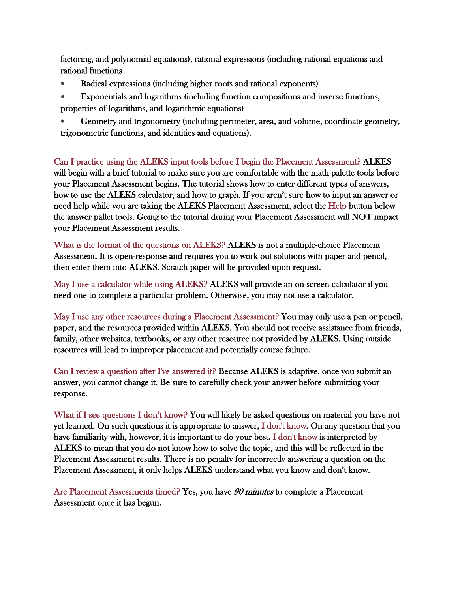factoring, and polynomial equations), rational expressions (including rational equations and rational functions

- Radical expressions (including higher roots and rational exponents)
- Exponentials and logarithms (including function compositions and inverse functions, properties of logarithms, and logarithmic equations)
- Geometry and trigonometry (including perimeter, area, and volume, coordinate geometry, trigonometric functions, and identities and equations).

Can I practice using the ALEKS input tools before I begin the Placement Assessment? ALKES will begin with a brief tutorial to make sure you are comfortable with the math palette tools before your Placement Assessment begins. The tutorial shows how to enter different types of answers, how to use the ALEKS calculator, and how to graph. If you aren't sure how to input an answer or need help while you are taking the ALEKS Placement Assessment, select the Help button below the answer pallet tools. Going to the tutorial during your Placement Assessment will NOT impact your Placement Assessment results.

What is the format of the questions on ALEKS? ALEKS is not a multiple-choice Placement Assessment. It is open-response and requires you to work out solutions with paper and pencil, then enter them into ALEKS. Scratch paper will be provided upon request.

May I use a calculator while using ALEKS? ALEKS will provide an on-screen calculator if you need one to complete a particular problem. Otherwise, you may not use a calculator.

May I use any other resources during a Placement Assessment? You may only use a pen or pencil, paper, and the resources provided within ALEKS. You should not receive assistance from friends, family, other websites, textbooks, or any other resource not provided by ALEKS. Using outside resources will lead to improper placement and potentially course failure.

Can I review a question after I've answered it? Because ALEKS is adaptive, once you submit an answer, you cannot change it. Be sure to carefully check your answer before submitting your response.

What if I see questions I don't know? You will likely be asked questions on material you have not yet learned. On such questions it is appropriate to answer, I don't know. On any question that you have familiarity with, however, it is important to do your best. I don't know is interpreted by ALEKS to mean that you do not know how to solve the topic, and this will be reflected in the Placement Assessment results. There is no penalty for incorrectly answering a question on the Placement Assessment, it only helps ALEKS understand what you know and don't know.

Are Placement Assessments timed? Yes, you have 90 minutes to complete a Placement Assessment once it has begun.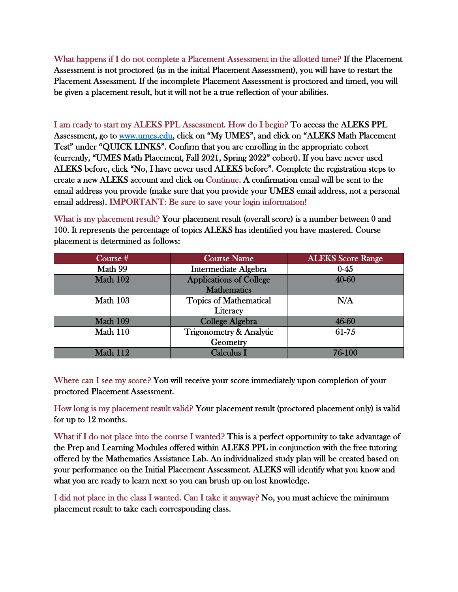What happens if I do not complete a Placement Assessment in the allotted time? If the Placement Assessment is not proctored (as in the initial Placement Assessment), you will have to restart the Placement Assessment. If the incomplete Placement Assessment is proctored and timed, you will be given a placement result, but it will not be a true reflection of your abilities.

I am ready to start my ALEKS PPL Assessment. How do I begin? To access the ALEKS PPL Assessment, go to www.umes.edu, click on "My UMES", and click on "ALEKS Math Placement Test" under "QUICK LINKS". Confirm that you are enrolling in the appropriate cohort (currently, "UMES Math Placement, Fall 2021, Spring 2022" cohort). If you have never used ALEKS before, click "No, I have never used ALEKS before". Complete the registration steps to create a new ALEKS account and click on Continue. A confirmation email will be sent to the email address you provide (make sure that you provide your UMES email address, not a personal email address). IMPORTANT: Be sure to save your login information!

What is my placement result? Your placement result (overall score) is a number between 0 and 100. It represents the percentage of topics ALEKS has identified you have mastered. Course placement is determined as follows:

| Course #        | <b>Course Name</b>             | <b>ALEKS Score Range</b> |
|-----------------|--------------------------------|--------------------------|
| Math 99         | <b>Intermediate Algebra</b>    | $0 - 45$                 |
| <b>Math 102</b> | <b>Applications of College</b> | 40-60                    |
|                 | <b>Mathematics</b>             |                          |
| Math 103        | <b>Topics of Mathematical</b>  | N/A                      |
|                 | Literacy                       |                          |
| Math 109        | College Algebra                | 46-60                    |
| Math 110        | Trigonometry & Analytic        | 61-75                    |
|                 | Geometry                       |                          |
| Math 112        | <b>Calculus I</b>              | 76-100                   |

Where can I see my score? You will receive your score immediately upon completion of your proctored Placement Assessment.

How long is my placement result valid? Your placement result (proctored placement only) is valid for up to 12 months.

What if I do not place into the course I wanted? This is a perfect opportunity to take advantage of the Prep and Learning Modules offered within ALEKS PPL in conjunction with the free tutoring offered by the Mathematics Assistance Lab. An individualized study plan will be created based on your performance on the Initial Placement Assessment. ALEKS will identify what you know and what you are ready to learn next so you can brush up on lost knowledge.

I did not place in the class I wanted. Can I take it anyway? No, you must achieve the minimum placement result to take each corresponding class.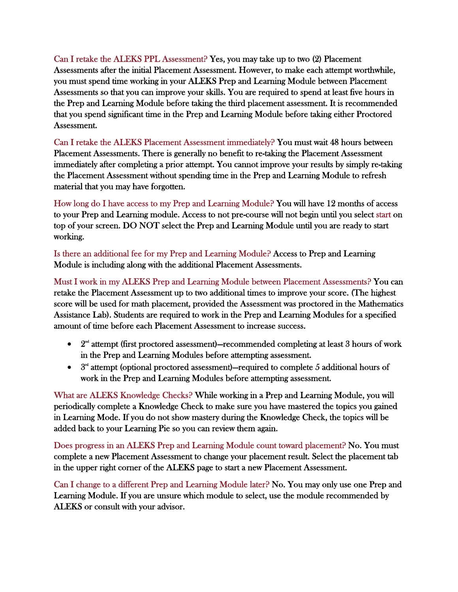Can I retake the ALEKS PPL Assessment? Yes, you may take up to two (2) Placement Assessments after the initial Placement Assessment. However, to make each attempt worthwhile, you must spend time working in your ALEKS Prep and Learning Module between Placement Assessments so that you can improve your skills. You are required to spend at least five hours in the Prep and Learning Module before taking the third placement assessment. It is recommended that you spend significant time in the Prep and Learning Module before taking either Proctored Assessment.

Can I retake the ALEKS Placement Assessment immediately? You must wait 48 hours between Placement Assessments. There is generally no benefit to re-taking the Placement Assessment immediately after completing a prior attempt. You cannot improve your results by simply re-taking the Placement Assessment without spending time in the Prep and Learning Module to refresh material that you may have forgotten.

How long do I have access to my Prep and Learning Module? You will have 12 months of access to your Prep and Learning module. Access to not pre-course will not begin until you select start on top of your screen. DO NOT select the Prep and Learning Module until you are ready to start working.

Is there an additional fee for my Prep and Learning Module? Access to Prep and Learning Module is including along with the additional Placement Assessments.

Must I work in my ALEKS Prep and Learning Module between Placement Assessments? You can retake the Placement Assessment up to two additional times to improve your score. (The highest score will be used for math placement, provided the Assessment was proctored in the Mathematics Assistance Lab). Students are required to work in the Prep and Learning Modules for a specified amount of time before each Placement Assessment to increase success.

- $2<sup>nd</sup>$  attempt (first proctored assessment)—recommended completing at least 3 hours of work in the Prep and Learning Modules before attempting assessment.
- $\bullet$   $3<sup>rd</sup>$  attempt (optional proctored assessment)—required to complete 5 additional hours of work in the Prep and Learning Modules before attempting assessment.

What are ALEKS Knowledge Checks? While working in a Prep and Learning Module, you will periodically complete a Knowledge Check to make sure you have mastered the topics you gained in Learning Mode. If you do not show mastery during the Knowledge Check, the topics will be added back to your Learning Pie so you can review them again.

Does progress in an ALEKS Prep and Learning Module count toward placement? No. You must complete a new Placement Assessment to change your placement result. Select the placement tab in the upper right corner of the ALEKS page to start a new Placement Assessment.

Can I change to a different Prep and Learning Module later? No. You may only use one Prep and Learning Module. If you are unsure which module to select, use the module recommended by ALEKS or consult with your advisor.